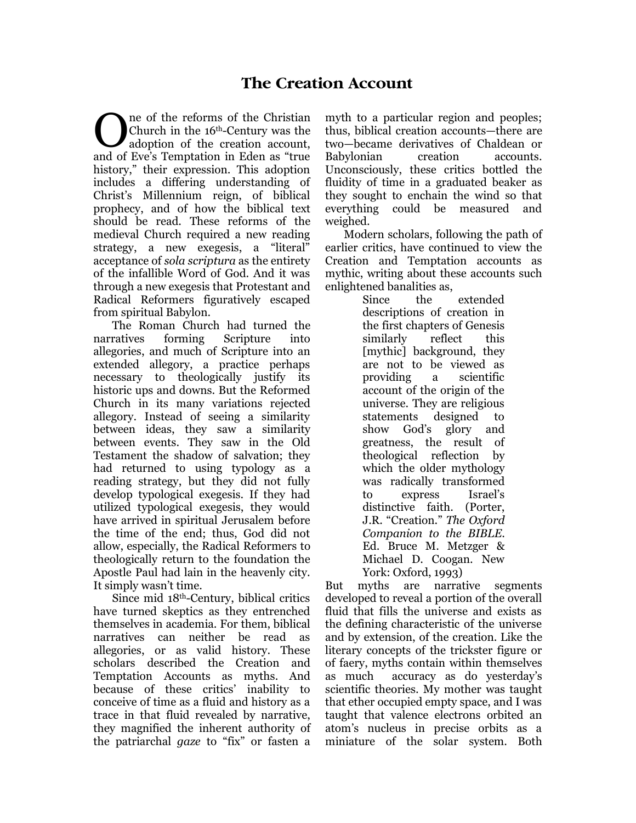ne of the reforms of the Christian Church in the 16th-Century was the adoption of the creation account, **C** and of the reforms of the Christian Church in the 16<sup>th</sup>-Century was the adoption of the creation account, and of Eve's Temptation in Eden as "true history," their expression. This adoption includes a differing understanding of Christ's Millennium reign, of biblical prophecy, and of how the biblical text should be read. These reforms of the medieval Church required a new reading strategy, a new exegesis, a "literal" acceptance of *sola scriptura* as the entirety of the infallible Word of God. And it was through a new exegesis that Protestant and Radical Reformers figuratively escaped from spiritual Babylon.

The Roman Church had turned the narratives forming Scripture into allegories, and much of Scripture into an extended allegory, a practice perhaps necessary to theologically justify its historic ups and downs. But the Reformed Church in its many variations rejected allegory. Instead of seeing a similarity between ideas, they saw a similarity between events. They saw in the Old Testament the shadow of salvation; they had returned to using typology as a reading strategy, but they did not fully develop typological exegesis. If they had utilized typological exegesis, they would have arrived in spiritual Jerusalem before the time of the end; thus, God did not allow, especially, the Radical Reformers to theologically return to the foundation the Apostle Paul had lain in the heavenly city. It simply wasn't time.

Since mid 18th-Century, biblical critics have turned skeptics as they entrenched themselves in academia. For them, biblical narratives can neither be read as allegories, or as valid history. These scholars described the Creation and Temptation Accounts as myths. And because of these critics' inability to conceive of time as a fluid and history as a trace in that fluid revealed by narrative, they magnified the inherent authority of the patriarchal *gaze* to "fix" or fasten a

myth to a particular region and peoples; thus, biblical creation accounts—there are two—became derivatives of Chaldean or Babylonian creation accounts. Unconsciously, these critics bottled the fluidity of time in a graduated beaker as they sought to enchain the wind so that everything could be measured and weighed.

Modern scholars, following the path of earlier critics, have continued to view the Creation and Temptation accounts as mythic, writing about these accounts such enlightened banalities as,

> Since the extended descriptions of creation in the first chapters of Genesis similarly reflect this [mythic] background, they are not to be viewed as providing a scientific account of the origin of the universe. They are religious statements designed to show God's glory and greatness, the result of theological reflection by which the older mythology was radically transformed to express Israel's distinctive faith. (Porter, J.R. "Creation." *The Oxford Companion to the BIBLE*. Ed. Bruce M. Metzger & Michael D. Coogan. New York: Oxford, 1993)

But myths are narrative segments developed to reveal a portion of the overall fluid that fills the universe and exists as the defining characteristic of the universe and by extension, of the creation. Like the literary concepts of the trickster figure or of faery, myths contain within themselves as much accuracy as do yesterday's scientific theories. My mother was taught that ether occupied empty space, and I was taught that valence electrons orbited an atom's nucleus in precise orbits as a miniature of the solar system. Both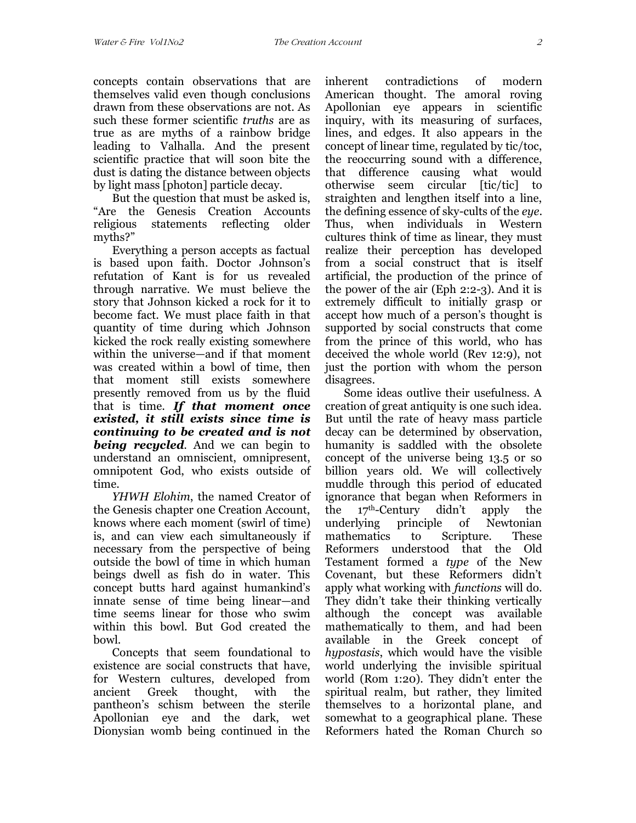concepts contain observations that are themselves valid even though conclusions drawn from these observations are not. As such these former scientific *truths* are as true as are myths of a rainbow bridge leading to Valhalla. And the present scientific practice that will soon bite the dust is dating the distance between objects by light mass [photon] particle decay.

But the question that must be asked is, "Are the Genesis Creation Accounts religious statements reflecting older myths?"

Everything a person accepts as factual is based upon faith. Doctor Johnson's refutation of Kant is for us revealed through narrative. We must believe the story that Johnson kicked a rock for it to become fact. We must place faith in that quantity of time during which Johnson kicked the rock really existing somewhere within the universe—and if that moment was created within a bowl of time, then that moment still exists somewhere presently removed from us by the fluid that is time. *If that moment once existed, it still exists since time is continuing to be created and is not being recycled.* And we can begin to understand an omniscient, omnipresent, omnipotent God, who exists outside of time.

*YHWH Elohim*, the named Creator of the Genesis chapter one Creation Account, knows where each moment (swirl of time) is, and can view each simultaneously if necessary from the perspective of being outside the bowl of time in which human beings dwell as fish do in water. This concept butts hard against humankind's innate sense of time being linear—and time seems linear for those who swim within this bowl. But God created the bowl.

Concepts that seem foundational to existence are social constructs that have, for Western cultures, developed from ancient Greek thought, with the pantheon's schism between the sterile Apollonian eye and the dark, wet Dionysian womb being continued in the

inherent contradictions of modern American thought. The amoral roving Apollonian eye appears in scientific inquiry, with its measuring of surfaces, lines, and edges. It also appears in the concept of linear time, regulated by tic/toc, the reoccurring sound with a difference, that difference causing what would otherwise seem circular [tic/tic] to straighten and lengthen itself into a line, the defining essence of sky-cults of the *eye*. Thus, when individuals in Western cultures think of time as linear, they must realize their perception has developed from a social construct that is itself artificial, the production of the prince of the power of the air (Eph 2:2-3). And it is extremely difficult to initially grasp or accept how much of a person's thought is supported by social constructs that come from the prince of this world, who has deceived the whole world (Rev 12:9), not just the portion with whom the person disagrees.

Some ideas outlive their usefulness. A creation of great antiquity is one such idea. But until the rate of heavy mass particle decay can be determined by observation, humanity is saddled with the obsolete concept of the universe being 13.5 or so billion years old. We will collectively muddle through this period of educated ignorance that began when Reformers in the 17th-Century didn't apply the underlying principle of Newtonian mathematics to Scripture. These Reformers understood that the Old Testament formed a *type* of the New Covenant, but these Reformers didn't apply what working with *functions* will do. They didn't take their thinking vertically although the concept was available mathematically to them, and had been available in the Greek concept of *hypostasis*, which would have the visible world underlying the invisible spiritual world (Rom 1:20). They didn't enter the spiritual realm, but rather, they limited themselves to a horizontal plane, and somewhat to a geographical plane. These Reformers hated the Roman Church so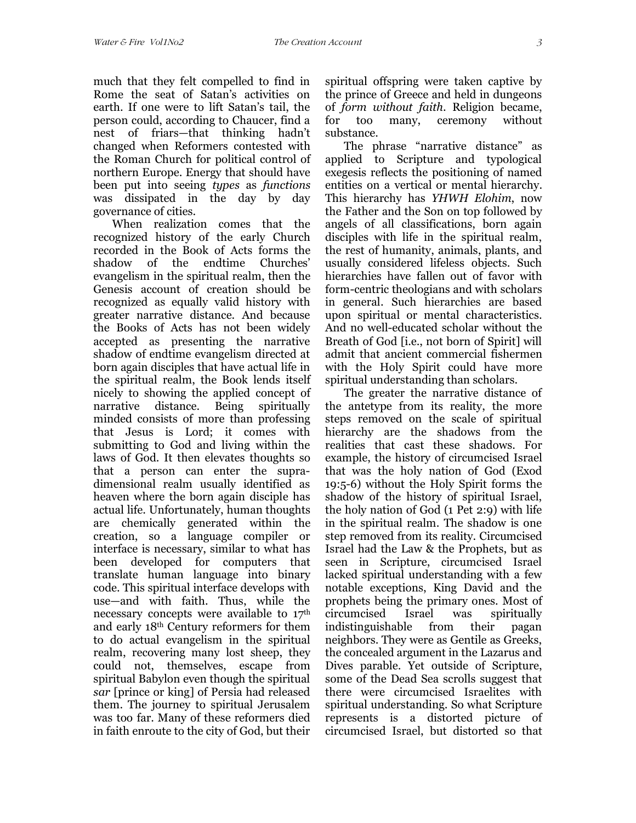much that they felt compelled to find in Rome the seat of Satan's activities on earth. If one were to lift Satan's tail, the person could, according to Chaucer, find a nest of friars—that thinking hadn't changed when Reformers contested with the Roman Church for political control of northern Europe. Energy that should have been put into seeing *types* as *functions*  was dissipated in the day by day governance of cities.

When realization comes that the recognized history of the early Church recorded in the Book of Acts forms the shadow of the endtime Churches' evangelism in the spiritual realm, then the Genesis account of creation should be recognized as equally valid history with greater narrative distance. And because the Books of Acts has not been widely accepted as presenting the narrative shadow of endtime evangelism directed at born again disciples that have actual life in the spiritual realm, the Book lends itself nicely to showing the applied concept of narrative distance. Being spiritually minded consists of more than professing that Jesus is Lord; it comes with submitting to God and living within the laws of God. It then elevates thoughts so that a person can enter the supradimensional realm usually identified as heaven where the born again disciple has actual life. Unfortunately, human thoughts are chemically generated within the creation, so a language compiler or interface is necessary, similar to what has been developed for computers that translate human language into binary code. This spiritual interface develops with use—and with faith. Thus, while the necessary concepts were available to 17th and early 18th Century reformers for them to do actual evangelism in the spiritual realm, recovering many lost sheep, they could not, themselves, escape from spiritual Babylon even though the spiritual *sar* [prince or king] of Persia had released them. The journey to spiritual Jerusalem was too far. Many of these reformers died in faith enroute to the city of God, but their

spiritual offspring were taken captive by the prince of Greece and held in dungeons of *form without faith*. Religion became, for too many, ceremony without substance.

The phrase "narrative distance" as applied to Scripture and typological exegesis reflects the positioning of named entities on a vertical or mental hierarchy. This hierarchy has *YHWH Elohim*, now the Father and the Son on top followed by angels of all classifications, born again disciples with life in the spiritual realm, the rest of humanity, animals, plants, and usually considered lifeless objects. Such hierarchies have fallen out of favor with form-centric theologians and with scholars in general. Such hierarchies are based upon spiritual or mental characteristics. And no well-educated scholar without the Breath of God [i.e., not born of Spirit] will admit that ancient commercial fishermen with the Holy Spirit could have more spiritual understanding than scholars.

The greater the narrative distance of the antetype from its reality, the more steps removed on the scale of spiritual hierarchy are the shadows from the realities that cast these shadows. For example, the history of circumcised Israel that was the holy nation of God (Exod 19:5-6) without the Holy Spirit forms the shadow of the history of spiritual Israel, the holy nation of God (1 Pet 2:9) with life in the spiritual realm. The shadow is one step removed from its reality. Circumcised Israel had the Law & the Prophets, but as seen in Scripture, circumcised Israel lacked spiritual understanding with a few notable exceptions, King David and the prophets being the primary ones. Most of circumcised Israel was spiritually indistinguishable from their pagan neighbors. They were as Gentile as Greeks, the concealed argument in the Lazarus and Dives parable. Yet outside of Scripture, some of the Dead Sea scrolls suggest that there were circumcised Israelites with spiritual understanding. So what Scripture represents is a distorted picture of circumcised Israel, but distorted so that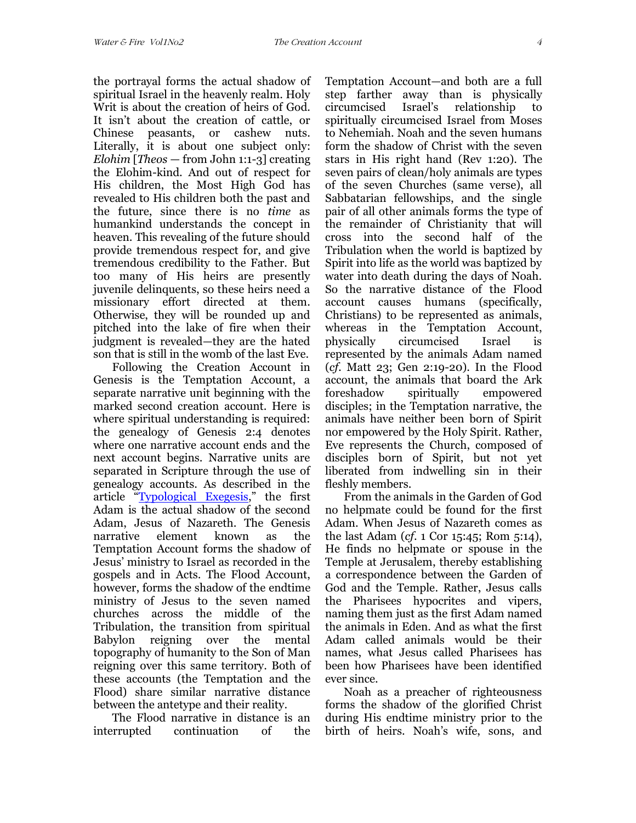the portrayal forms the actual shadow of spiritual Israel in the heavenly realm. Holy Writ is about the creation of heirs of God. It isn't about the creation of cattle, or Chinese peasants, or cashew nuts. Literally, it is about one subject only: *Elohim* [*Theos* — from John 1:1-3] creating the Elohim-kind. And out of respect for His children, the Most High God has revealed to His children both the past and the future, since there is no *time* as humankind understands the concept in heaven. This revealing of the future should provide tremendous respect for, and give tremendous credibility to the Father. But too many of His heirs are presently juvenile delinquents, so these heirs need a missionary effort directed at them. Otherwise, they will be rounded up and pitched into the lake of fire when their judgment is revealed—they are the hated son that is still in the womb of the last Eve.

Following the Creation Account in Genesis is the Temptation Account, a separate narrative unit beginning with the marked second creation account. Here is where spiritual understanding is required: the genealogy of Genesis 2:4 denotes where one narrative account ends and the next account begins. Narrative units are separated in Scripture through the use of genealogy accounts. As described in the article "Typological Exegesis," the first Adam is the actual shadow of the second Adam, Jesus of Nazareth. The Genesis narrative element known as the Temptation Account forms the shadow of Jesus' ministry to Israel as recorded in the gospels and in Acts. The Flood Account, however, forms the shadow of the endtime ministry of Jesus to the seven named churches across the middle of the Tribulation, the transition from spiritual Babylon reigning over the mental topography of humanity to the Son of Man reigning over this same territory. Both of these accounts (the Temptation and the Flood) share similar narrative distance between the antetype and their reality.

The Flood narrative in distance is an interrupted continuation of the Temptation Account—and both are a full step farther away than is physically circumcised Israel's relationship to spiritually circumcised Israel from Moses to Nehemiah. Noah and the seven humans form the shadow of Christ with the seven stars in His right hand (Rev 1:20). The seven pairs of clean/holy animals are types of the seven Churches (same verse), all Sabbatarian fellowships, and the single pair of all other animals forms the type of the remainder of Christianity that will cross into the second half of the Tribulation when the world is baptized by Spirit into life as the world was baptized by water into death during the days of Noah. So the narrative distance of the Flood account causes humans (specifically, Christians) to be represented as animals, whereas in the Temptation Account, physically circumcised Israel is represented by the animals Adam named (*cf.* Matt 23; Gen 2:19-20). In the Flood account, the animals that board the Ark foreshadow spiritually empowered disciples; in the Temptation narrative, the animals have neither been born of Spirit nor empowered by the Holy Spirit. Rather, Eve represents the Church, composed of disciples born of Spirit, but not yet liberated from indwelling sin in their fleshly members.

From the animals in the Garden of God no helpmate could be found for the first Adam. When Jesus of Nazareth comes as the last Adam (*cf*. 1 Cor 15:45; Rom 5:14), He finds no helpmate or spouse in the Temple at Jerusalem, thereby establishing a correspondence between the Garden of God and the Temple. Rather, Jesus calls the Pharisees hypocrites and vipers, naming them just as the first Adam named the animals in Eden. And as what the first Adam called animals would be their names, what Jesus called Pharisees has been how Pharisees have been identified ever since.

Noah as a preacher of righteousness forms the shadow of the glorified Christ during His endtime ministry prior to the birth of heirs. Noah's wife, sons, and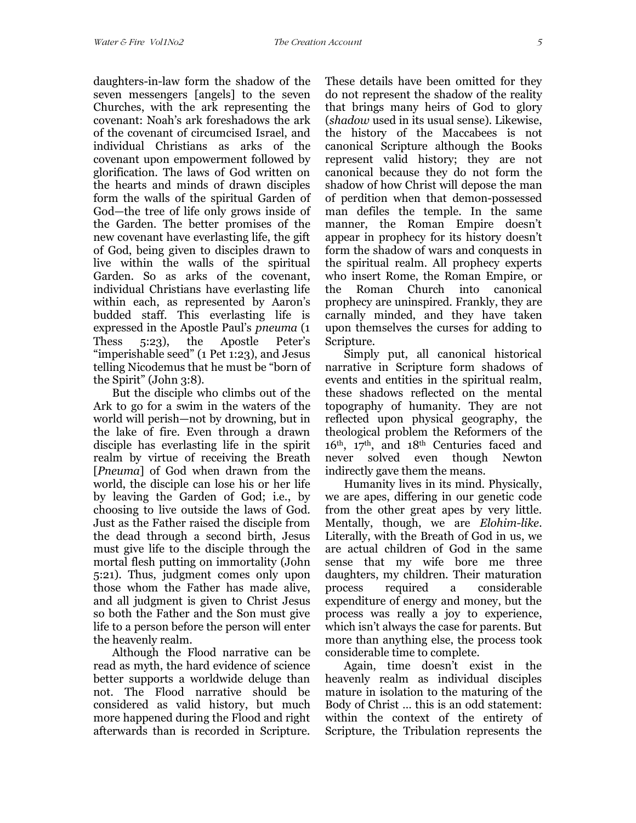daughters-in-law form the shadow of the seven messengers [angels] to the seven Churches, with the ark representing the covenant: Noah's ark foreshadows the ark of the covenant of circumcised Israel, and individual Christians as arks of the covenant upon empowerment followed by glorification. The laws of God written on the hearts and minds of drawn disciples form the walls of the spiritual Garden of God—the tree of life only grows inside of the Garden. The better promises of the new covenant have everlasting life, the gift of God, being given to disciples drawn to live within the walls of the spiritual Garden. So as arks of the covenant, individual Christians have everlasting life within each, as represented by Aaron's budded staff. This everlasting life is expressed in the Apostle Paul's *pneuma* (1 Thess 5:23), the Apostle Peter's "imperishable seed" (1 Pet 1:23), and Jesus telling Nicodemus that he must be "born of the Spirit" (John 3:8).

But the disciple who climbs out of the Ark to go for a swim in the waters of the world will perish—not by drowning, but in the lake of fire. Even through a drawn disciple has everlasting life in the spirit realm by virtue of receiving the Breath [*Pneuma*] of God when drawn from the world, the disciple can lose his or her life by leaving the Garden of God; i.e., by choosing to live outside the laws of God. Just as the Father raised the disciple from the dead through a second birth, Jesus must give life to the disciple through the mortal flesh putting on immortality (John 5:21). Thus, judgment comes only upon those whom the Father has made alive, and all judgment is given to Christ Jesus so both the Father and the Son must give life to a person before the person will enter the heavenly realm.

Although the Flood narrative can be read as myth, the hard evidence of science better supports a worldwide deluge than not. The Flood narrative should be considered as valid history, but much more happened during the Flood and right afterwards than is recorded in Scripture. These details have been omitted for they do not represent the shadow of the reality that brings many heirs of God to glory (*shadow* used in its usual sense). Likewise, the history of the Maccabees is not canonical Scripture although the Books represent valid history; they are not canonical because they do not form the shadow of how Christ will depose the man of perdition when that demon-possessed man defiles the temple. In the same manner, the Roman Empire doesn't appear in prophecy for its history doesn't form the shadow of wars and conquests in the spiritual realm. All prophecy experts who insert Rome, the Roman Empire, or the Roman Church into canonical prophecy are uninspired. Frankly, they are carnally minded, and they have taken upon themselves the curses for adding to Scripture.

Simply put, all canonical historical narrative in Scripture form shadows of events and entities in the spiritual realm, these shadows reflected on the mental topography of humanity. They are not reflected upon physical geography, the theological problem the Reformers of the 16th, 17th, and 18th Centuries faced and never solved even though Newton indirectly gave them the means.

Humanity lives in its mind. Physically, we are apes, differing in our genetic code from the other great apes by very little. Mentally, though, we are *Elohim-like*. Literally, with the Breath of God in us, we are actual children of God in the same sense that my wife bore me three daughters, my children. Their maturation process required a considerable expenditure of energy and money, but the process was really a joy to experience, which isn't always the case for parents. But more than anything else, the process took considerable time to complete.

Again, time doesn't exist in the heavenly realm as individual disciples mature in isolation to the maturing of the Body of Christ … this is an odd statement: within the context of the entirety of Scripture, the Tribulation represents the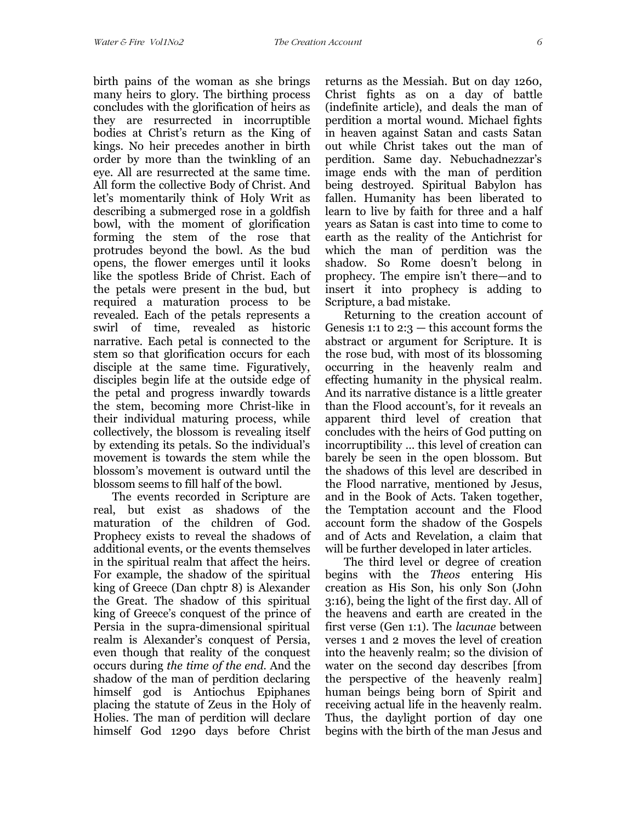birth pains of the woman as she brings many heirs to glory. The birthing process concludes with the glorification of heirs as they are resurrected in incorruptible bodies at Christ's return as the King of kings. No heir precedes another in birth order by more than the twinkling of an eye. All are resurrected at the same time. All form the collective Body of Christ. And let's momentarily think of Holy Writ as describing a submerged rose in a goldfish bowl, with the moment of glorification forming the stem of the rose that protrudes beyond the bowl. As the bud opens, the flower emerges until it looks like the spotless Bride of Christ. Each of the petals were present in the bud, but required a maturation process to be revealed. Each of the petals represents a swirl of time, revealed as historic narrative. Each petal is connected to the stem so that glorification occurs for each disciple at the same time. Figuratively, disciples begin life at the outside edge of the petal and progress inwardly towards the stem, becoming more Christ-like in their individual maturing process, while collectively, the blossom is revealing itself by extending its petals. So the individual's movement is towards the stem while the blossom's movement is outward until the blossom seems to fill half of the bowl.

The events recorded in Scripture are real, but exist as shadows of the maturation of the children of God. Prophecy exists to reveal the shadows of additional events, or the events themselves in the spiritual realm that affect the heirs. For example, the shadow of the spiritual king of Greece (Dan chptr 8) is Alexander the Great. The shadow of this spiritual king of Greece's conquest of the prince of Persia in the supra-dimensional spiritual realm is Alexander's conquest of Persia, even though that reality of the conquest occurs during *the time of the end*. And the shadow of the man of perdition declaring himself god is Antiochus Epiphanes placing the statute of Zeus in the Holy of Holies. The man of perdition will declare himself God 1290 days before Christ returns as the Messiah. But on day 1260, Christ fights as on a day of battle (indefinite article), and deals the man of perdition a mortal wound. Michael fights in heaven against Satan and casts Satan out while Christ takes out the man of perdition. Same day. Nebuchadnezzar's image ends with the man of perdition being destroyed. Spiritual Babylon has fallen. Humanity has been liberated to learn to live by faith for three and a half years as Satan is cast into time to come to earth as the reality of the Antichrist for which the man of perdition was the shadow. So Rome doesn't belong in prophecy. The empire isn't there—and to insert it into prophecy is adding to Scripture, a bad mistake.

Returning to the creation account of Genesis 1:1 to  $2:3$  — this account forms the abstract or argument for Scripture. It is the rose bud, with most of its blossoming occurring in the heavenly realm and effecting humanity in the physical realm. And its narrative distance is a little greater than the Flood account's, for it reveals an apparent third level of creation that concludes with the heirs of God putting on incorruptibility … this level of creation can barely be seen in the open blossom. But the shadows of this level are described in the Flood narrative, mentioned by Jesus, and in the Book of Acts. Taken together, the Temptation account and the Flood account form the shadow of the Gospels and of Acts and Revelation, a claim that will be further developed in later articles.

The third level or degree of creation begins with the *Theos* entering His creation as His Son, his only Son (John 3:16), being the light of the first day. All of the heavens and earth are created in the first verse (Gen 1:1). The *lacunae* between verses 1 and 2 moves the level of creation into the heavenly realm; so the division of water on the second day describes [from the perspective of the heavenly realm] human beings being born of Spirit and receiving actual life in the heavenly realm. Thus, the daylight portion of day one begins with the birth of the man Jesus and